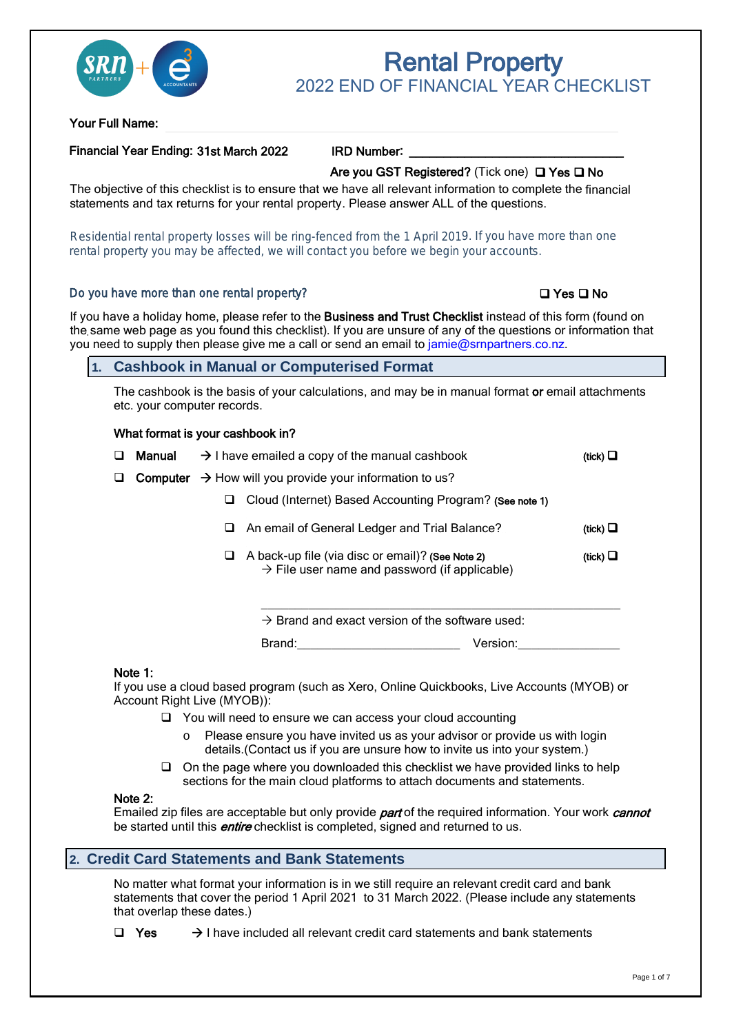

# Rental Property 2022 FND OF FINANCIAL YFAR CHECKLIST

Your Full Name:

#### Financial Year Ending: 31st March 2022

IRD Number:

#### Are you GST Registered? (Tick one)  $\Box$  Yes  $\Box$  No

statements and tax returns for your rental property. Please answer ALL of the questions. The objective of this checklist is to ensure that we have all relevant information to complete the financial

Residential rental property losses will be ring-fenced from the 1 April 2019. If you have more than one rental property you may be affected, we will contact you before we begin your accounts.

#### Do you have more than one rental property?

#### $\Box$  Yes  $\Box$  No

the same web page as you found this checklist). If you are unsure of any of the questions or information that If you have a holiday home, please refer to the Business and Trust Checklist instead of this form (found on you need to sup[ply then please give me a call](mailto:jamie@e3accountants.co.nz?Subject=Rental%20Property%20Tax%20Return%20Checklist%20Query) or send an email to jamie@srnpartners.co.nz.

#### **1. Cashbook in Manual or Computerised Format**

The cashbook is the basis of your calculations, and may be in manual format or email attachments etc. your computer records.

#### What format is your cashbook in?

| $\Box$ | Manual   | $\rightarrow$ I have emailed a copy of the manual cashbook                                                         | (tick) $\square$ |
|--------|----------|--------------------------------------------------------------------------------------------------------------------|------------------|
| ❏.     | Computer | $\rightarrow$ How will you provide your information to us?                                                         |                  |
|        |          | Cloud (Internet) Based Accounting Program? (See note 1)<br>⊔                                                       |                  |
|        |          | An email of General Ledger and Trial Balance?<br>ப                                                                 | (tick) $\Box$    |
|        |          | A back-up file (via disc or email)? (See Note 2)<br>u<br>$\rightarrow$ File user name and password (if applicable) | (tick) $\Box$    |

 $\rightarrow$  Brand and exact version of the software used:

Brand:\_\_\_\_\_\_\_\_\_\_\_\_\_\_\_\_\_\_\_\_\_\_\_\_ Version:\_\_\_\_\_\_\_\_\_\_\_\_\_\_\_

#### Note 1:

If you use a cloud based program (such as Xero, Online Quickbooks, Live Accounts (MYOB) or Account Right Live (MYOB)):

- □ You will need to ensure we can access your cloud accounting
	- Please ensure you have invited us as your advisor or provide us with login details.(Contact us if you are unsure how to invite us into your system.)
- $\Box$  On the page where you downloaded this checklist we have provided links to help sections for the main cloud platforms to attach documents and statements.

#### Note 2:

Emailed zip files are acceptable but only provide *part* of the required information. Your work *cannot* be started until this **entire** checklist is completed, signed and returned to us.

#### **2. Credit Card Statements and Bank Statements**

No matter what format your information is in we still require an relevant credit card and bank statements that cover the period 1 April 2021 to 31 March 2022. (Please include any statements that overlap these dates.)

 Yes  $\rightarrow$  I have included all relevant credit card statements and bank statements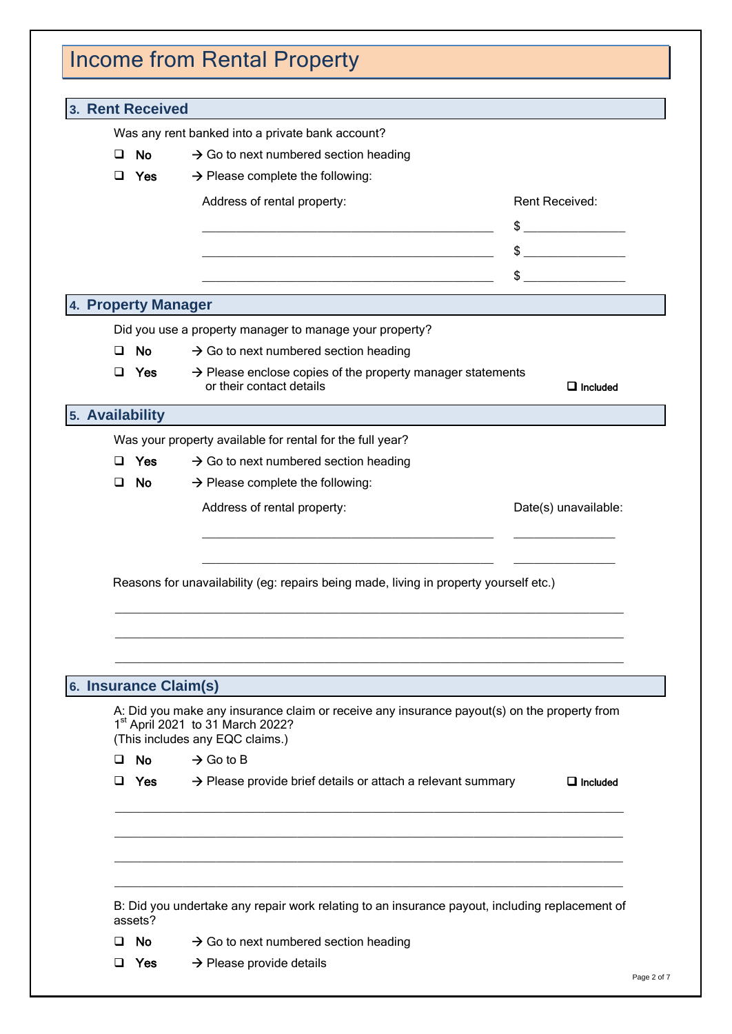| 3. Rent Received      |                                                                                                                                                                                |                      |
|-----------------------|--------------------------------------------------------------------------------------------------------------------------------------------------------------------------------|----------------------|
|                       | Was any rent banked into a private bank account?                                                                                                                               |                      |
| <b>No</b><br>◻        | $\rightarrow$ Go to next numbered section heading                                                                                                                              |                      |
| ◻<br>Yes              | $\rightarrow$ Please complete the following:                                                                                                                                   |                      |
|                       | Address of rental property:                                                                                                                                                    | Rent Received:       |
|                       |                                                                                                                                                                                | $\frac{1}{2}$        |
|                       | the control of the control of the control of the control of the control of                                                                                                     | $\frac{1}{2}$        |
|                       |                                                                                                                                                                                | $\mathbb{S}$         |
| 4. Property Manager   |                                                                                                                                                                                |                      |
|                       |                                                                                                                                                                                |                      |
| ◻<br><b>No</b>        | Did you use a property manager to manage your property?<br>$\rightarrow$ Go to next numbered section heading                                                                   |                      |
| ◻<br>Yes              | $\rightarrow$ Please enclose copies of the property manager statements                                                                                                         |                      |
|                       | or their contact details                                                                                                                                                       | $\Box$ Included      |
| 5. Availability       |                                                                                                                                                                                |                      |
|                       | Was your property available for rental for the full year?                                                                                                                      |                      |
| Yes<br>◻              | $\rightarrow$ Go to next numbered section heading                                                                                                                              |                      |
| <b>No</b><br>O.       | $\rightarrow$ Please complete the following:                                                                                                                                   |                      |
|                       | Address of rental property:                                                                                                                                                    | Date(s) unavailable: |
|                       | Reasons for unavailability (eg: repairs being made, living in property yourself etc.)                                                                                          |                      |
|                       |                                                                                                                                                                                |                      |
| 6. Insurance Claim(s) |                                                                                                                                                                                |                      |
|                       | A: Did you make any insurance claim or receive any insurance payout(s) on the property from<br>1 <sup>st</sup> April 2021 to 31 March 2022?<br>(This includes any EQC claims.) |                      |
| $\Box$ No             | $\rightarrow$ Go to B                                                                                                                                                          |                      |
| $\Box$ Yes            | $\rightarrow$ Please provide brief details or attach a relevant summary                                                                                                        |                      |
|                       |                                                                                                                                                                                |                      |
| assets?               | B: Did you undertake any repair work relating to an insurance payout, including replacement of                                                                                 | $\Box$ Included      |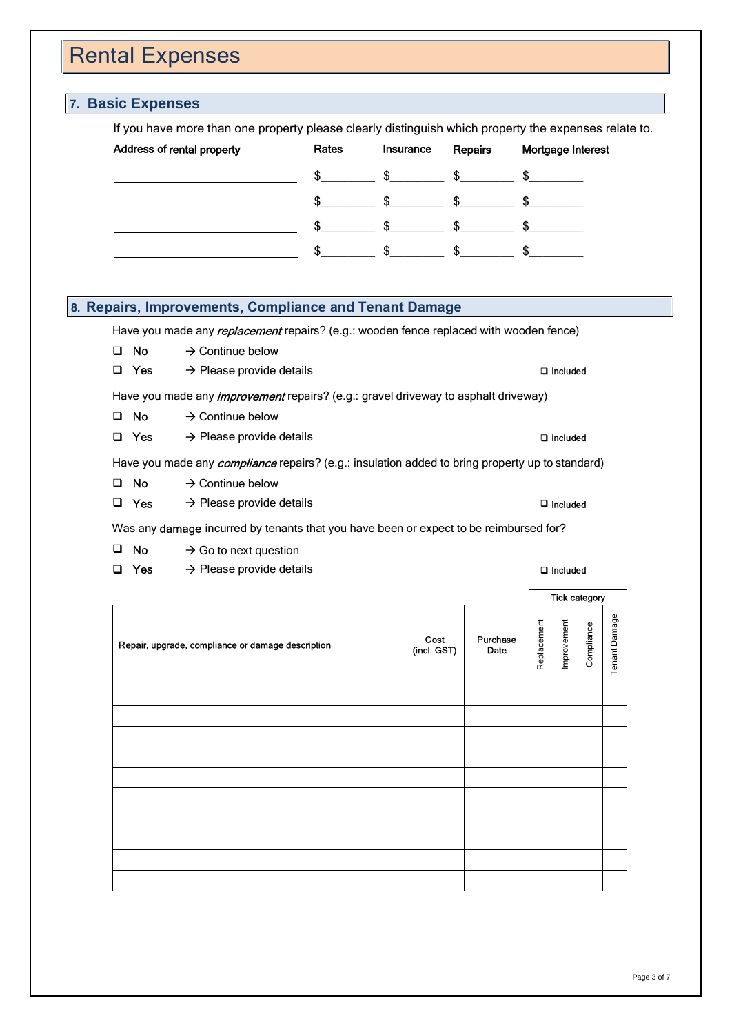### Rental Expenses

## **7. Basic Expenses** If you have more than one property please clearly distinguish which property the expenses relate to. Address of rental property **Rates** Insurance Repairs Mortgage Interest

| $\frac{1}{2}$ $\frac{1}{2}$ $\frac{1}{2}$ $\frac{1}{2}$ $\frac{1}{2}$ $\frac{1}{2}$ $\frac{1}{2}$ $\frac{1}{2}$ $\frac{1}{2}$ $\frac{1}{2}$ $\frac{1}{2}$ $\frac{1}{2}$ $\frac{1}{2}$ $\frac{1}{2}$ $\frac{1}{2}$ $\frac{1}{2}$ $\frac{1}{2}$ $\frac{1}{2}$ $\frac{1}{2}$ $\frac{1}{2}$ $\frac{1}{2}$ $\frac{1}{2}$ |  |                          |
|---------------------------------------------------------------------------------------------------------------------------------------------------------------------------------------------------------------------------------------------------------------------------------------------------------------------|--|--------------------------|
|                                                                                                                                                                                                                                                                                                                     |  | $\sim$ \$ \$ \$ \$ \$ \$ |

#### **8. Repairs, Improvements, Compliance and Tenant Damage**

- $\Box$  No  $\rightarrow$  Continue below
- 

- $\Box$  No  $\rightarrow$  Continue below
- 

- $\Box$  No  $\rightarrow$  Continue below
- 

- $\Box$  No  $\rightarrow$  Go to next question
- 

| tal Expenses<br>sic Expenses                                                                                                                                                                                                                                                                     |                                                                                                                                                                                                                                                                                                                                                                          |                                                             |             |  |  |
|--------------------------------------------------------------------------------------------------------------------------------------------------------------------------------------------------------------------------------------------------------------------------------------------------|--------------------------------------------------------------------------------------------------------------------------------------------------------------------------------------------------------------------------------------------------------------------------------------------------------------------------------------------------------------------------|-------------------------------------------------------------|-------------|--|--|
| If you have more than one property please clearly distinguish which property the expenses relate to.<br>Address of rental property<br>Rates<br>$\frac{1}{2}$<br>\$<br>$\frac{1}{2}$<br>$\frac{1}{2}$                                                                                             | Insurance<br>Repairs<br>$\frac{1}{2}$<br>$\Omega$<br>$\frac{1}{2}$ $\frac{1}{2}$ $\frac{1}{2}$ $\frac{1}{2}$ $\frac{1}{2}$ $\frac{1}{2}$ $\frac{1}{2}$ $\frac{1}{2}$ $\frac{1}{2}$ $\frac{1}{2}$ $\frac{1}{2}$ $\frac{1}{2}$ $\frac{1}{2}$ $\frac{1}{2}$ $\frac{1}{2}$ $\frac{1}{2}$ $\frac{1}{2}$ $\frac{1}{2}$ $\frac{1}{2}$ $\frac{1}{2}$ $\frac{1}{2}$ $\frac{1}{2}$ | Mortgage Interest                                           |             |  |  |
| \$<br>$\frac{1}{2}$<br>$\frac{1}{2}$<br>$\frac{1}{2}$<br>pairs, Improvements, Compliance and Tenant Damage                                                                                                                                                                                       | $\frac{1}{2}$<br>$\frac{1}{2}$<br>$\frac{1}{2}$                                                                                                                                                                                                                                                                                                                          | $\frac{1}{2}$                                               |             |  |  |
| Have you made any <i>replacement</i> repairs? (e.g.: wooden fence replaced with wooden fence)<br>$\rightarrow$ Continue below<br>$\square$ No<br>$\rightarrow$ Please provide details<br>$\Box$ Yes<br>Have you made any <i>improvement</i> repairs? (e.g.: gravel driveway to asphalt driveway) |                                                                                                                                                                                                                                                                                                                                                                          | $\Box$ Included                                             |             |  |  |
| $\rightarrow$ Continue below<br>$\square$ No<br>$\rightarrow$ Please provide details<br>$\Box$ Yes<br>Have you made any <i>compliance</i> repairs? (e.g.: insulation added to bring property up to standard)<br>$\rightarrow$ Continue below<br>$\square$ No                                     |                                                                                                                                                                                                                                                                                                                                                                          | $\Box$ Included                                             |             |  |  |
| $\rightarrow$ Please provide details<br>$\Box$ Yes<br>Was any damage incurred by tenants that you have been or expect to be reimbursed for?<br>$\square$ No<br>$\rightarrow$ Go to next question<br>$\Box$ Yes<br>$\rightarrow$ Please provide details                                           |                                                                                                                                                                                                                                                                                                                                                                          | $\Box$ Included<br>$\square$ Included                       |             |  |  |
| Repair, upgrade, compliance or damage description                                                                                                                                                                                                                                                | Replacement<br>Cost<br>(incl. GST)<br>Purchase<br>Date                                                                                                                                                                                                                                                                                                                   | Tick category<br>Tenant Damage<br>Improvement<br>Compliance |             |  |  |
|                                                                                                                                                                                                                                                                                                  |                                                                                                                                                                                                                                                                                                                                                                          |                                                             |             |  |  |
|                                                                                                                                                                                                                                                                                                  |                                                                                                                                                                                                                                                                                                                                                                          |                                                             |             |  |  |
|                                                                                                                                                                                                                                                                                                  |                                                                                                                                                                                                                                                                                                                                                                          |                                                             |             |  |  |
|                                                                                                                                                                                                                                                                                                  |                                                                                                                                                                                                                                                                                                                                                                          |                                                             | Page 3 of 7 |  |  |
|                                                                                                                                                                                                                                                                                                  |                                                                                                                                                                                                                                                                                                                                                                          |                                                             |             |  |  |
|                                                                                                                                                                                                                                                                                                  |                                                                                                                                                                                                                                                                                                                                                                          |                                                             |             |  |  |
|                                                                                                                                                                                                                                                                                                  |                                                                                                                                                                                                                                                                                                                                                                          |                                                             |             |  |  |
|                                                                                                                                                                                                                                                                                                  |                                                                                                                                                                                                                                                                                                                                                                          |                                                             |             |  |  |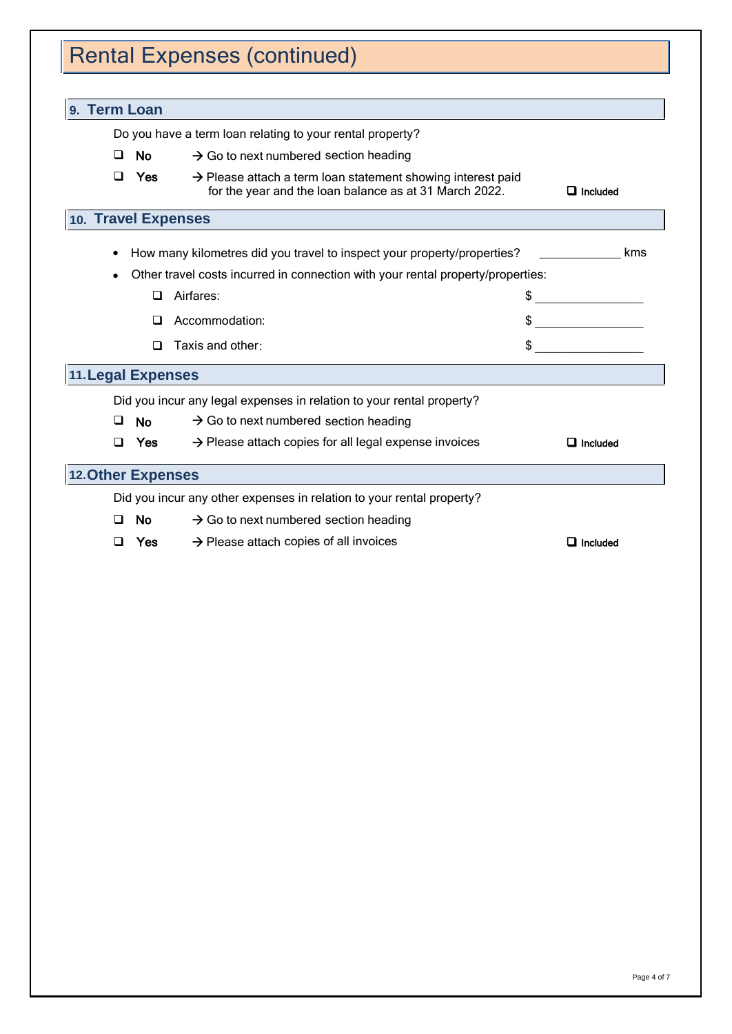# Rental Expenses (continued)

| 9. Term Loan              |                                                                                                                                   |                 |
|---------------------------|-----------------------------------------------------------------------------------------------------------------------------------|-----------------|
|                           | Do you have a term loan relating to your rental property?                                                                         |                 |
| ◻<br><b>No</b>            | $\rightarrow$ Go to next numbered section heading                                                                                 |                 |
| □<br>Yes                  | $\rightarrow$ Please attach a term loan statement showing interest paid<br>for the year and the loan balance as at 31 March 2022. | $\Box$ Included |
| 10. Travel Expenses       |                                                                                                                                   |                 |
|                           | How many kilometres did you travel to inspect your property/properties?                                                           | kms             |
|                           | Other travel costs incurred in connection with your rental property/properties:                                                   |                 |
| ◻                         | Airfares:                                                                                                                         |                 |
|                           | Accommodation:                                                                                                                    |                 |
| П                         | Taxis and other:                                                                                                                  |                 |
| <b>11. Legal Expenses</b> |                                                                                                                                   |                 |
|                           | Did you incur any legal expenses in relation to your rental property?                                                             |                 |
| ப<br>No.                  | $\rightarrow$ Go to next numbered section heading                                                                                 |                 |
| ∩<br>Yes                  | $\rightarrow$ Please attach copies for all legal expense invoices                                                                 | $\Box$ Included |
| <b>12.Other Expenses</b>  |                                                                                                                                   |                 |
|                           | Did you incur any other expenses in relation to your rental property?                                                             |                 |
| No.<br>∩                  | $\rightarrow$ Go to next numbered section heading                                                                                 |                 |
| Yes<br>n                  | $\rightarrow$ Please attach copies of all invoices                                                                                | $\Box$ Included |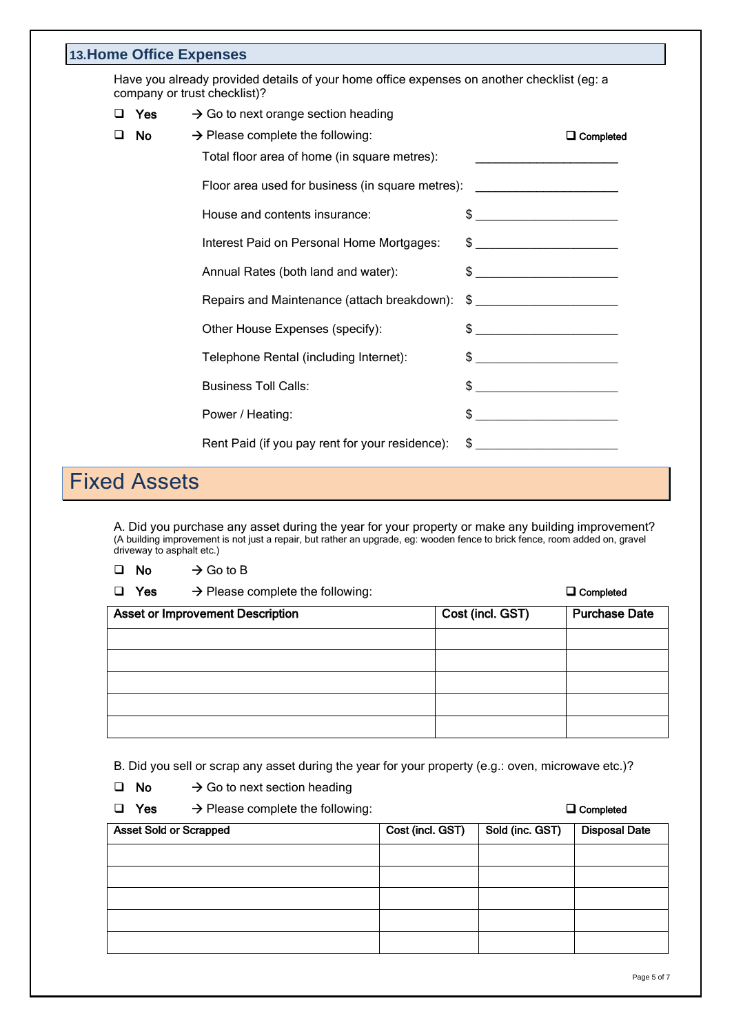|                                                                                                                            |    | <b>13. Home Office Expenses</b>                  |                                                                                                                                                                                                                                                                                                                     |  |
|----------------------------------------------------------------------------------------------------------------------------|----|--------------------------------------------------|---------------------------------------------------------------------------------------------------------------------------------------------------------------------------------------------------------------------------------------------------------------------------------------------------------------------|--|
| Have you already provided details of your home office expenses on another checklist (eg: a<br>company or trust checklist)? |    |                                                  |                                                                                                                                                                                                                                                                                                                     |  |
| Yes<br>$\rightarrow$ Go to next orange section heading<br>□                                                                |    |                                                  |                                                                                                                                                                                                                                                                                                                     |  |
| $\Box$                                                                                                                     | No | $\rightarrow$ Please complete the following:     | $\Box$ Completed                                                                                                                                                                                                                                                                                                    |  |
|                                                                                                                            |    | Total floor area of home (in square metres):     | <u> 1989 - Johann Barbara, martin a</u>                                                                                                                                                                                                                                                                             |  |
|                                                                                                                            |    | Floor area used for business (in square metres): |                                                                                                                                                                                                                                                                                                                     |  |
|                                                                                                                            |    | House and contents insurance:                    |                                                                                                                                                                                                                                                                                                                     |  |
|                                                                                                                            |    | Interest Paid on Personal Home Mortgages:        |                                                                                                                                                                                                                                                                                                                     |  |
|                                                                                                                            |    | Annual Rates (both land and water):              | $\frac{1}{2}$ $\frac{1}{2}$ $\frac{1}{2}$ $\frac{1}{2}$ $\frac{1}{2}$ $\frac{1}{2}$ $\frac{1}{2}$ $\frac{1}{2}$ $\frac{1}{2}$ $\frac{1}{2}$ $\frac{1}{2}$ $\frac{1}{2}$ $\frac{1}{2}$ $\frac{1}{2}$ $\frac{1}{2}$ $\frac{1}{2}$ $\frac{1}{2}$ $\frac{1}{2}$ $\frac{1}{2}$ $\frac{1}{2}$ $\frac{1}{2}$ $\frac{1}{2}$ |  |
|                                                                                                                            |    | Repairs and Maintenance (attach breakdown):      | $\frac{1}{2}$                                                                                                                                                                                                                                                                                                       |  |
|                                                                                                                            |    | Other House Expenses (specify):                  |                                                                                                                                                                                                                                                                                                                     |  |
|                                                                                                                            |    | Telephone Rental (including Internet):           |                                                                                                                                                                                                                                                                                                                     |  |
|                                                                                                                            |    | <b>Business Toll Calls:</b>                      |                                                                                                                                                                                                                                                                                                                     |  |
|                                                                                                                            |    | Power / Heating:                                 |                                                                                                                                                                                                                                                                                                                     |  |
|                                                                                                                            |    | Rent Paid (if you pay rent for your residence):  | $\frac{1}{2}$                                                                                                                                                                                                                                                                                                       |  |

# Fixed Assets

A. Did you purchase any asset during the year for your property or make any building improvement? (A building improvement is not just a repair, but rather an upgrade, eg: wooden fence to brick fence, room added on, gravel driveway to asphalt etc.)

- $\Box$  No  $\rightarrow$  Go to B
- 
- 
- $\Box$  Yes  $\rightarrow$  Please complete the following:  $\Box$  Yes  $\Box$  Completed

|                                         |                  | _ _ _ _ _ _ _ _ _ _ _ |
|-----------------------------------------|------------------|-----------------------|
| <b>Asset or Improvement Description</b> | Cost (incl. GST) | <b>Purchase Date</b>  |
|                                         |                  |                       |
|                                         |                  |                       |
|                                         |                  |                       |
|                                         |                  |                       |
|                                         |                  |                       |

B. Did you sell or scrap any asset during the year for your property (e.g.: oven, microwave etc.)?

- $\Box$  No  $\rightarrow$  Go to next section heading
- $\Box$  Yes  $\rightarrow$  Please complete the following:  $\Box$  Completed

| <b>Asset Sold or Scrapped</b> | Cost (incl. GST) Sold (inc. GST) | <b>Disposal Date</b> |
|-------------------------------|----------------------------------|----------------------|
|                               |                                  |                      |
|                               |                                  |                      |
|                               |                                  |                      |
|                               |                                  |                      |
|                               |                                  |                      |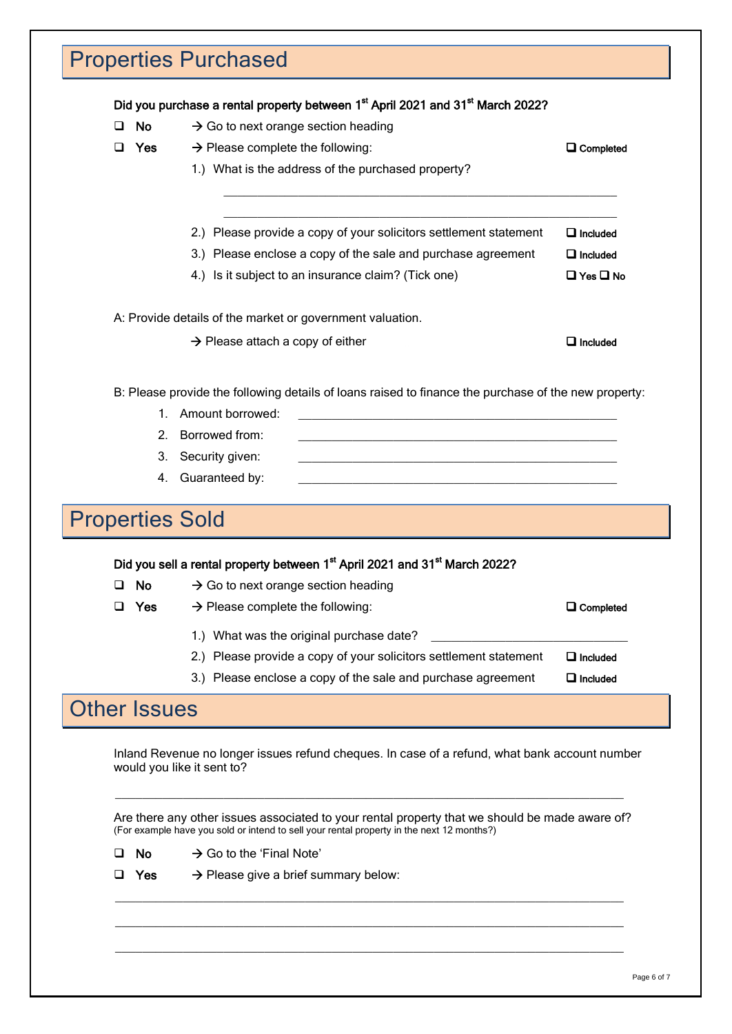| <b>No</b><br>ப         | Did you purchase a rental property between 1 <sup>st</sup> April 2021 and 31 <sup>st</sup> March 2022?                                                                                      |                                    |
|------------------------|---------------------------------------------------------------------------------------------------------------------------------------------------------------------------------------------|------------------------------------|
| ◻<br><b>Yes</b>        | $\rightarrow$ Go to next orange section heading<br>$\rightarrow$ Please complete the following:                                                                                             | $\Box$ Completed                   |
|                        | 1.) What is the address of the purchased property?                                                                                                                                          |                                    |
|                        |                                                                                                                                                                                             |                                    |
|                        | 2.) Please provide a copy of your solicitors settlement statement                                                                                                                           | $\Box$ Included                    |
|                        | 3.) Please enclose a copy of the sale and purchase agreement                                                                                                                                | $\Box$ Included                    |
|                        | 4.) Is it subject to an insurance claim? (Tick one)                                                                                                                                         | $\Box$ Yes $\Box$ No               |
|                        | A: Provide details of the market or government valuation.                                                                                                                                   |                                    |
|                        | $\rightarrow$ Please attach a copy of either                                                                                                                                                | $\Box$ Included                    |
|                        | B: Please provide the following details of loans raised to finance the purchase of the new property:                                                                                        |                                    |
| 1.                     | Amount borrowed:                                                                                                                                                                            |                                    |
| 2.                     | Borrowed from:                                                                                                                                                                              |                                    |
| 3.                     | Security given:                                                                                                                                                                             |                                    |
|                        | 4. Guaranteed by:                                                                                                                                                                           |                                    |
|                        |                                                                                                                                                                                             |                                    |
|                        |                                                                                                                                                                                             |                                    |
| <b>Properties Sold</b> |                                                                                                                                                                                             |                                    |
|                        | Did you sell a rental property between 1st April 2021 and 31st March 2022?                                                                                                                  |                                    |
| <b>No</b>              | $\rightarrow$ Go to next orange section heading                                                                                                                                             |                                    |
| Yes<br>⊔               | $\rightarrow$ Please complete the following:                                                                                                                                                | $\Box$ Completed                   |
|                        |                                                                                                                                                                                             |                                    |
|                        | 1.) What was the original purchase date?                                                                                                                                                    |                                    |
|                        | 2.) Please provide a copy of your solicitors settlement statement                                                                                                                           | $\Box$ Included<br>$\Box$ Included |
|                        | 3.) Please enclose a copy of the sale and purchase agreement                                                                                                                                |                                    |
| <b>Other Issues</b>    |                                                                                                                                                                                             |                                    |
|                        | Inland Revenue no longer issues refund cheques. In case of a refund, what bank account number<br>would you like it sent to?                                                                 |                                    |
|                        | Are there any other issues associated to your rental property that we should be made aware of?<br>(For example have you sold or intend to sell your rental property in the next 12 months?) |                                    |

\_\_\_\_\_\_\_\_\_\_\_\_\_\_\_\_\_\_\_\_\_\_\_\_\_\_\_\_\_\_\_\_\_\_\_\_\_\_\_\_\_\_\_\_\_\_\_\_\_\_\_\_\_\_\_\_\_\_\_\_\_\_\_\_\_\_\_\_\_\_\_\_\_\_\_

 $\frac{1}{2}$  ,  $\frac{1}{2}$  ,  $\frac{1}{2}$  ,  $\frac{1}{2}$  ,  $\frac{1}{2}$  ,  $\frac{1}{2}$  ,  $\frac{1}{2}$  ,  $\frac{1}{2}$  ,  $\frac{1}{2}$  ,  $\frac{1}{2}$  ,  $\frac{1}{2}$  ,  $\frac{1}{2}$  ,  $\frac{1}{2}$  ,  $\frac{1}{2}$  ,  $\frac{1}{2}$  ,  $\frac{1}{2}$  ,  $\frac{1}{2}$  ,  $\frac{1}{2}$  ,  $\frac{1$